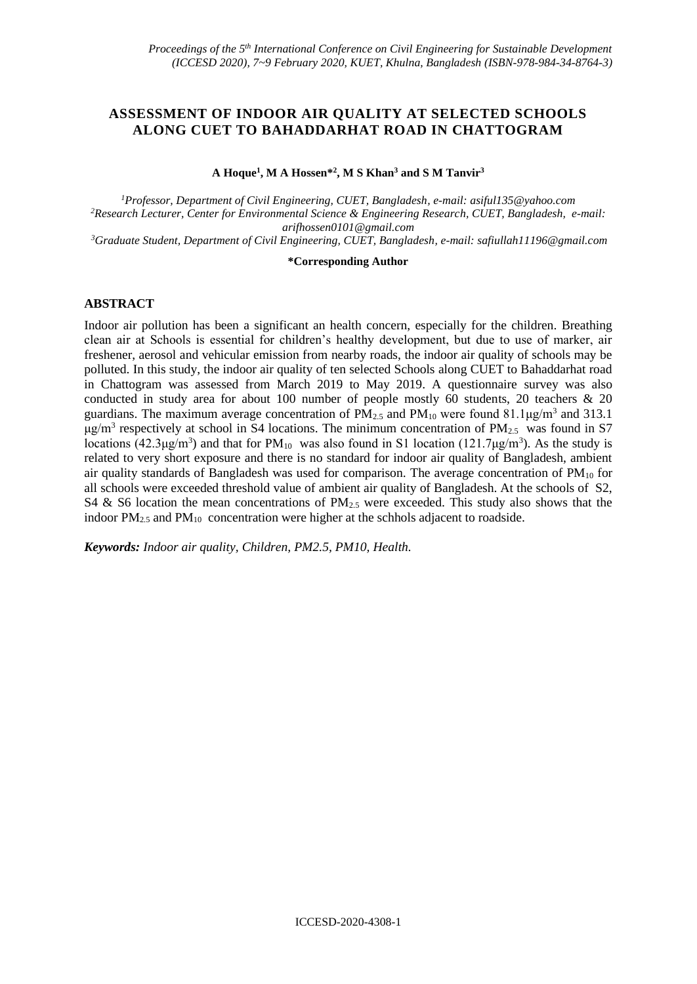# **ASSESSMENT OF INDOOR AIR QUALITY AT SELECTED SCHOOLS ALONG CUET TO BAHADDARHAT ROAD IN CHATTOGRAM**

**A Hoque<sup>1</sup> , M A Hossen\* 2 , M S Khan<sup>3</sup> and S M Tanvir<sup>3</sup>**

*<sup>1</sup>Professor, Department of Civil Engineering, CUET, Bangladesh, e-mail: [asiful135@yahoo.com](mailto:asiful135@yahoo.com) <sup>2</sup>Research Lecturer, Center for Environmental Science & Engineering Research, CUET, Bangladesh, e-mail: arifhossen0101@gmail.com*

*<sup>3</sup>Graduate Student, Department of Civil Engineering, CUET, Bangladesh, e-mail: safiullah11196@gmail.com*

#### **\*Corresponding Author**

## **ABSTRACT**

Indoor air pollution has been a significant an health concern, especially for the children. Breathing clean air at Schools is essential for children's healthy development, but due to use of marker, air freshener, aerosol and vehicular emission from nearby roads, the indoor air quality of schools may be polluted. In this study, the indoor air quality of ten selected Schools along CUET to Bahaddarhat road in Chattogram was assessed from March 2019 to May 2019. A questionnaire survey was also conducted in study area for about 100 number of people mostly 60 students, 20 teachers & 20 guardians. The maximum average concentration of  $PM_{2.5}$  and  $PM_{10}$  were found 81.1 $\mu$ g/m<sup>3</sup> and 313.1  $\mu$ g/m<sup>3</sup> respectively at school in S4 locations. The minimum concentration of PM<sub>2.5</sub> was found in S7 locations (42.3 $\mu$ g/m<sup>3</sup>) and that for PM<sub>10</sub> was also found in S1 location (121.7 $\mu$ g/m<sup>3</sup>). As the study is related to very short exposure and there is no standard for indoor air quality of Bangladesh, ambient air quality standards of Bangladesh was used for comparison. The average concentration of  $PM_{10}$  for all schools were exceeded threshold value of ambient air quality of Bangladesh. At the schools of S2, S4 & S6 location the mean concentrations of  $PM<sub>2.5</sub>$  were exceeded. This study also shows that the indoor  $PM_{2.5}$  and  $PM_{10}$  concentration were higher at the schhols adjacent to roadside.

*Keywords: Indoor air quality, Children, PM2.5, PM10, Health.*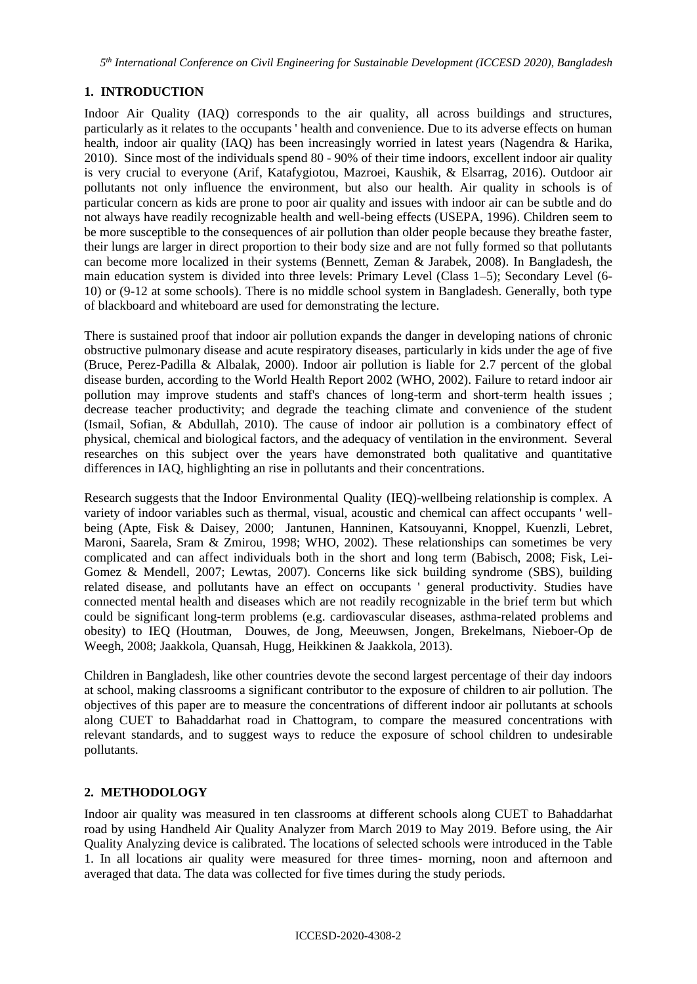# **1. INTRODUCTION**

Indoor Air Quality (IAQ) corresponds to the air quality, all across buildings and structures, particularly as it relates to the occupants ' health and convenience. Due to its adverse effects on human health, indoor air quality (IAQ) has been increasingly worried in latest years (Nagendra & Harika, 2010). Since most of the individuals spend 80 - 90% of their time indoors, excellent indoor air quality is very crucial to everyone (Arif, Katafygiotou, Mazroei, Kaushik, & Elsarrag, 2016). Outdoor air pollutants not only influence the environment, but also our health. Air quality in schools is of particular concern as kids are prone to poor air quality and issues with indoor air can be subtle and do not always have readily recognizable health and well-being effects (USEPA, 1996). Children seem to be more susceptible to the consequences of air pollution than older people because they breathe faster, their lungs are larger in direct proportion to their body size and are not fully formed so that pollutants can become more localized in their systems (Bennett, Zeman & Jarabek, 2008). In Bangladesh, the main education system is divided into three levels: Primary Level (Class 1–5); Secondary Level (6- 10) or (9-12 at some schools). There is no middle school system in Bangladesh. Generally, both type of blackboard and whiteboard are used for demonstrating the lecture.

There is sustained proof that indoor air pollution expands the danger in developing nations of chronic obstructive pulmonary disease and acute respiratory diseases, particularly in kids under the age of five (Bruce, Perez-Padilla & Albalak, 2000). Indoor air pollution is liable for 2.7 percent of the global disease burden, according to the World Health Report 2002 (WHO, 2002). Failure to retard indoor air pollution may improve students and staff's chances of long-term and short-term health issues ; decrease teacher productivity; and degrade the teaching climate and convenience of the student (Ismail, Sofian, & Abdullah, 2010). The cause of indoor air pollution is a combinatory effect of physical, chemical and biological factors, and the adequacy of ventilation in the environment. Several researches on this subject over the years have demonstrated both qualitative and quantitative differences in IAQ, highlighting an rise in pollutants and their concentrations.

Research suggests that the Indoor Environmental Quality (IEQ)-wellbeing relationship is complex. A variety of indoor variables such as thermal, visual, acoustic and chemical can affect occupants ' wellbeing (Apte, Fisk & Daisey, 2000; Jantunen, Hanninen, Katsouyanni, Knoppel, Kuenzli, Lebret, Maroni, Saarela, Sram & Zmirou, 1998; WHO, 2002). These relationships can sometimes be very complicated and can affect individuals both in the short and long term (Babisch, 2008; Fisk, Lei-Gomez & Mendell, 2007; Lewtas, 2007). Concerns like sick building syndrome (SBS), building related disease, and pollutants have an effect on occupants ' general productivity. Studies have connected mental health and diseases which are not readily recognizable in the brief term but which could be significant long-term problems (e.g. cardiovascular diseases, asthma-related problems and obesity) to IEQ (Houtman, Douwes, de Jong, Meeuwsen, Jongen, Brekelmans, Nieboer-Op de Weegh, 2008; Jaakkola, Quansah, Hugg, Heikkinen & Jaakkola, 2013).

Children in Bangladesh, like other countries devote the second largest percentage of their day indoors at school, making classrooms a significant contributor to the exposure of children to air pollution. The objectives of this paper are to measure the concentrations of different indoor air pollutants at schools along CUET to Bahaddarhat road in Chattogram, to compare the measured concentrations with relevant standards, and to suggest ways to reduce the exposure of school children to undesirable pollutants.

## **2. METHODOLOGY**

Indoor air quality was measured in ten classrooms at different schools along CUET to Bahaddarhat road by using Handheld Air Quality Analyzer from March 2019 to May 2019. Before using, the Air Quality Analyzing device is calibrated. The locations of selected schools were introduced in the Table 1. In all locations air quality were measured for three times- morning, noon and afternoon and averaged that data. The data was collected for five times during the study periods.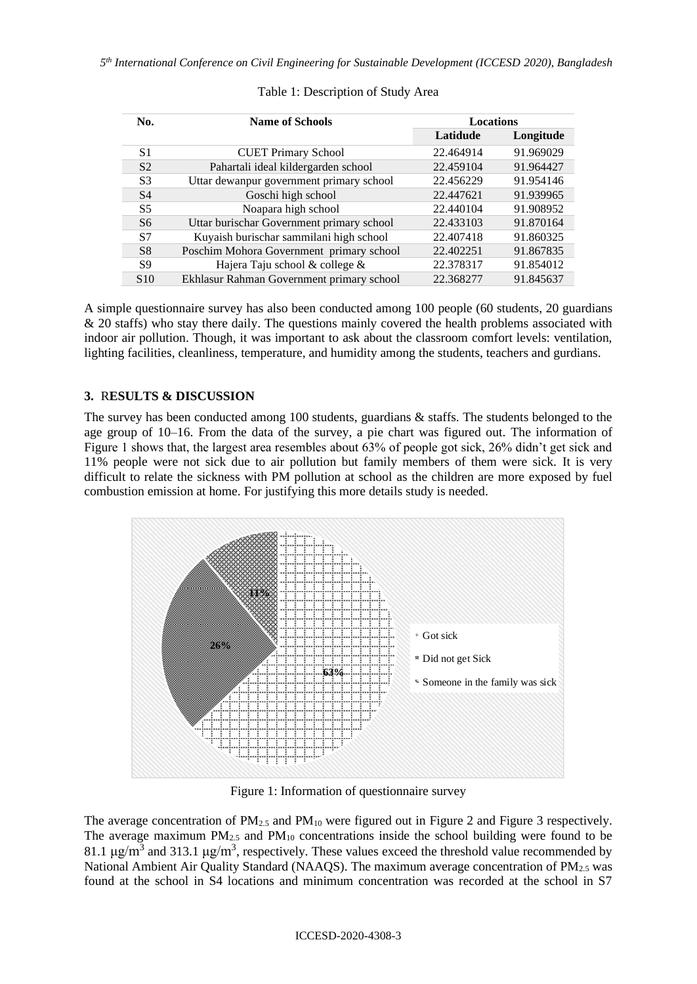*5 th International Conference on Civil Engineering for Sustainable Development (ICCESD 2020), Bangladesh*

| No.             | <b>Name of Schools</b>                    | <b>Locations</b> |           |
|-----------------|-------------------------------------------|------------------|-----------|
|                 |                                           | Latidude         | Longitude |
| S1              | <b>CUET Primary School</b>                | 22.464914        | 91.969029 |
| S <sub>2</sub>  | Pahartali ideal kildergarden school       | 22.459104        | 91.964427 |
| S <sub>3</sub>  | Uttar dewanpur government primary school  | 22.456229        | 91.954146 |
| S <sub>4</sub>  | Goschi high school                        | 22.447621        | 91.939965 |
| S5              | Noapara high school                       | 22.440104        | 91.908952 |
| S <sub>6</sub>  | Uttar burischar Government primary school | 22.433103        | 91.870164 |
| S7              | Kuyaish burischar sammilani high school   | 22.407418        | 91.860325 |
| S8              | Poschim Mohora Government primary school  | 22.402251        | 91.867835 |
| S9              | Hajera Taju school & college &            | 22.378317        | 91.854012 |
| S <sub>10</sub> | Ekhlasur Rahman Government primary school | 22.368277        | 91.845637 |

#### Table 1: Description of Study Area

A simple questionnaire survey has also been conducted among 100 people (60 students, 20 guardians & 20 staffs) who stay there daily. The questions mainly covered the health problems associated with indoor air pollution. Though, it was important to ask about the classroom comfort levels: ventilation, lighting facilities, cleanliness, temperature, and humidity among the students, teachers and gurdians.

## **3.** R**ESULTS & DISCUSSION**

The survey has been conducted among 100 students, guardians & staffs. The students belonged to the age group of 10–16. From the data of the survey, a pie chart was figured out. The information of Figure 1 shows that, the largest area resembles about 63% of people got sick, 26% didn't get sick and 11% people were not sick due to air pollution but family members of them were sick. It is very difficult to relate the sickness with PM pollution at school as the children are more exposed by fuel combustion emission at home. For justifying this more details study is needed.



Figure 1: Information of questionnaire survey

The average concentration of  $PM_{2.5}$  and  $PM_{10}$  were figured out in Figure 2 and Figure 3 respectively. The average maximum  $PM_{2.5}$  and  $PM_{10}$  concentrations inside the school building were found to be 81.1 μg/m<sup>3</sup> and 313.1 μg/m<sup>3</sup>, respectively. These values exceed the threshold value recommended by National Ambient Air Quality Standard (NAAQS). The maximum average concentration of PM<sub>2.5</sub> was found at the school in S4 locations and minimum concentration was recorded at the school in S7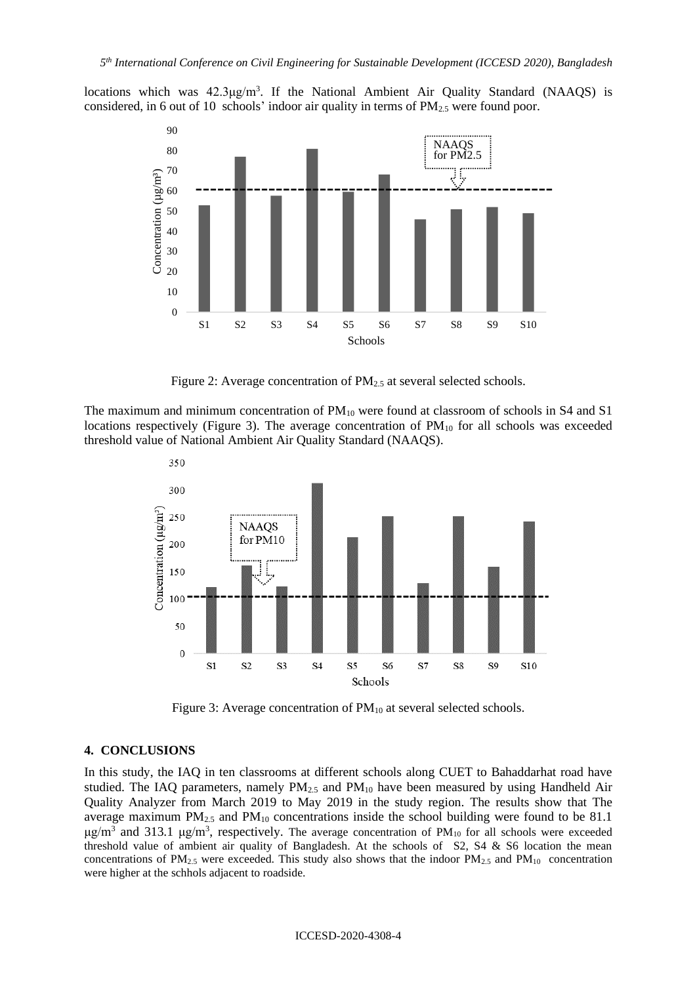locations which was 42.3μg/m<sup>3</sup>. If the National Ambient Air Quality Standard (NAAQS) is considered, in 6 out of 10 schools' indoor air quality in terms of  $PM_{2.5}$  were found poor.



Figure 2: Average concentration of PM<sub>2.5</sub> at several selected schools.

The maximum and minimum concentration of PM<sub>10</sub> were found at classroom of schools in S4 and S1 locations respectively (Figure 3). The average concentration of  $PM_{10}$  for all schools was exceeded threshold value of National Ambient Air Quality Standard (NAAQS).



Figure 3: Average concentration of PM<sub>10</sub> at several selected schools.

#### **4. CONCLUSIONS**

In this study, the IAQ in ten classrooms at different schools along CUET to Bahaddarhat road have studied. The IAQ parameters, namely PM<sub>2.5</sub> and PM<sub>10</sub> have been measured by using Handheld Air Quality Analyzer from March 2019 to May 2019 in the study region. The results show that The average maximum  $PM_{2.5}$  and  $PM_{10}$  concentrations inside the school building were found to be 81.1 μg/m<sup>3</sup> and 313.1 μg/m<sup>3</sup>, respectively. The average concentration of PM<sub>10</sub> for all schools were exceeded threshold value of ambient air quality of Bangladesh. At the schools of  $S_2$ ,  $S_4$  &  $S_6$  location the mean concentrations of  $PM_{2.5}$  were exceeded. This study also shows that the indoor  $PM_{2.5}$  and  $PM_{10}$  concentration were higher at the schhols adjacent to roadside.